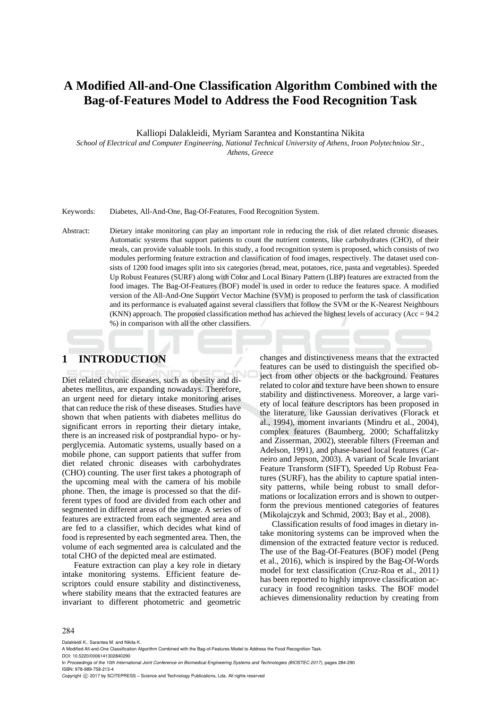# **A Modified All-and-One Classification Algorithm Combined with the Bag-of-Features Model to Address the Food Recognition Task**

Kalliopi Dalakleidi, Myriam Sarantea and Konstantina Nikita

*School of Electrical and Computer Engineering, National Technical University of Athens, Iroon Polytechniou Str., Athens, Greece* 

Keywords: Diabetes, All-And-One, Bag-Of-Features, Food Recognition System.

Abstract: Dietary intake monitoring can play an important role in reducing the risk of diet related chronic diseases. Automatic systems that support patients to count the nutrient contents, like carbohydrates (CHO), of their meals, can provide valuable tools. In this study, a food recognition system is proposed, which consists of two modules performing feature extraction and classification of food images, respectively. The dataset used consists of 1200 food images split into six categories (bread, meat, potatoes, rice, pasta and vegetables). Speeded Up Robust Features (SURF) along with Color and Local Binary Pattern (LBP) features are extracted from the food images. The Bag-Of-Features (BOF) model is used in order to reduce the features space. A modified version of the All-And-One Support Vector Machine (SVM) is proposed to perform the task of classification and its performance is evaluated against several classifiers that follow the SVM or the K-Nearest Neighbours  $(KNN)$  approach. The proposed classification method has achieved the highest levels of accuracy (Acc = 94.2) %) in comparison with all the other classifiers.

# **1 INTRODUCTION**

Diet related chronic diseases, such as obesity and diabetes mellitus, are expanding nowadays. Therefore, an urgent need for dietary intake monitoring arises that can reduce the risk of these diseases. Studies have shown that when patients with diabetes mellitus do significant errors in reporting their dietary intake, there is an increased risk of postprandial hypo- or hyperglycemia. Automatic systems, usually based on a mobile phone, can support patients that suffer from diet related chronic diseases with carbohydrates (CHO) counting. The user first takes a photograph of the upcoming meal with the camera of his mobile phone. Then, the image is processed so that the different types of food are divided from each other and segmented in different areas of the image. A series of features are extracted from each segmented area and are fed to a classifier, which decides what kind of food is represented by each segmented area. Then, the volume of each segmented area is calculated and the total CHO of the depicted meal are estimated.

Feature extraction can play a key role in dietary intake monitoring systems. Efficient feature descriptors could ensure stability and distinctiveness, where stability means that the extracted features are invariant to different photometric and geometric

changes and distinctiveness means that the extracted features can be used to distinguish the specified object from other objects or the background. Features related to color and texture have been shown to ensure stability and distinctiveness. Moreover, a large variety of local feature descriptors has been proposed in the literature, like Gaussian derivatives (Florack et al., 1994), moment invariants (Mindru et al., 2004), complex features (Baumberg, 2000; Schaffalitzky and Zisserman, 2002), steerable filters (Freeman and Adelson, 1991), and phase-based local features (Carneiro and Jepson, 2003). A variant of Scale Invariant Feature Transform (SIFT), Speeded Up Robust Features (SURF), has the ability to capture spatial intensity patterns, while being robust to small deformations or localization errors and is shown to outperform the previous mentioned categories of features (Mikolajczyk and Schmid, 2003; Bay et al., 2008).

Classification results of food images in dietary intake monitoring systems can be improved when the dimension of the extracted feature vector is reduced. The use of the Bag-Of-Features (BOF) model (Peng et al., 2016), which is inspired by the Bag-Of-Words model for text classification (Cruz-Roa et al., 2011) has been reported to highly improve classification accuracy in food recognition tasks. The BOF model achieves dimensionality reduction by creating from

#### 284

Dalakleidi K., Sarantea M. and Nikita K.

A Modified All-and-One Classification Algorithm Combined with the Bag-of-Features Model to Address the Food Recognition Task. DOI: 10.5220/0006141302840290

In *Proceedings of the 10th International Joint Conference on Biomedical Engineering Systems and Technologies (BIOSTEC 2017)*, pages 284-290 ISBN: 978-989-758-213-4

Copyright (C) 2017 by SCITEPRESS - Science and Technology Publications, Lda. All rights reserved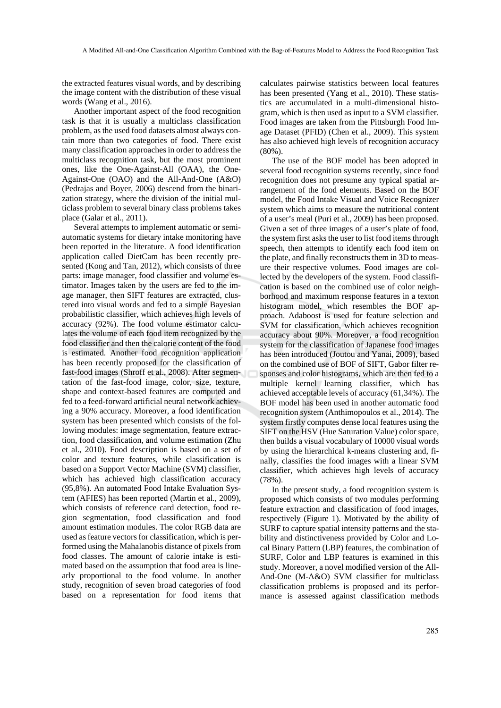the extracted features visual words, and by describing the image content with the distribution of these visual words (Wang et al., 2016).

Another important aspect of the food recognition task is that it is usually a multiclass classification problem, as the used food datasets almost always contain more than two categories of food. There exist many classification approaches in order to address the multiclass recognition task, but the most prominent ones, like the One-Against-All (OAA), the One-Against-One (OAO) and the All-And-One (A&O) (Pedrajas and Boyer, 2006) descend from the binarization strategy, where the division of the initial multiclass problem to several binary class problems takes place (Galar et al., 2011).

Several attempts to implement automatic or semiautomatic systems for dietary intake monitoring have been reported in the literature. A food identification application called DietCam has been recently presented (Kong and Tan, 2012), which consists of three parts: image manager, food classifier and volume estimator. Images taken by the users are fed to the image manager, then SIFT features are extracted, clustered into visual words and fed to a simple Bayesian probabilistic classifier, which achieves high levels of accuracy (92%). The food volume estimator calculates the volume of each food item recognized by the food classifier and then the calorie content of the food is estimated. Another food recognition application has been recently proposed for the classification of fast-food images (Shroff et al., 2008). After segmentation of the fast-food image, color, size, texture, shape and context-based features are computed and fed to a feed-forward artificial neural network achieving a 90% accuracy. Moreover, a food identification system has been presented which consists of the following modules: image segmentation, feature extraction, food classification, and volume estimation (Zhu et al., 2010). Food description is based on a set of color and texture features, while classification is based on a Support Vector Machine (SVM) classifier, which has achieved high classification accuracy (95,8%). An automated Food Intake Evaluation System (AFIES) has been reported (Martin et al., 2009), which consists of reference card detection, food region segmentation, food classification and food amount estimation modules. The color RGB data are used as feature vectors for classification, which is performed using the Mahalanobis distance of pixels from food classes. The amount of calorie intake is estimated based on the assumption that food area is linearly proportional to the food volume. In another study, recognition of seven broad categories of food based on a representation for food items that

calculates pairwise statistics between local features has been presented (Yang et al., 2010). These statistics are accumulated in a multi-dimensional histogram, which is then used as input to a SVM classifier. Food images are taken from the Pittsburgh Food Image Dataset (PFID) (Chen et al., 2009). This system has also achieved high levels of recognition accuracy (80%).

The use of the BOF model has been adopted in several food recognition systems recently, since food recognition does not presume any typical spatial arrangement of the food elements. Based on the BOF model, the Food Intake Visual and Voice Recognizer system which aims to measure the nutritional content of a user's meal (Puri et al., 2009) has been proposed. Given a set of three images of a user's plate of food, the system first asks the user to list food items through speech, then attempts to identify each food item on the plate, and finally reconstructs them in 3D to measure their respective volumes. Food images are collected by the developers of the system. Food classification is based on the combined use of color neighborhood and maximum response features in a texton histogram model, which resembles the BOF approach. Adaboost is used for feature selection and SVM for classification, which achieves recognition accuracy about 90%. Moreover, a food recognition system for the classification of Japanese food images has been introduced (Joutou and Yanai, 2009), based on the combined use of BOF of SIFT, Gabor filter responses and color histograms, which are then fed to a multiple kernel learning classifier, which has achieved acceptable levels of accuracy (61,34%). The BOF model has been used in another automatic food recognition system (Anthimopoulos et al., 2014). The system firstly computes dense local features using the SIFT on the HSV (Hue Saturation Value) color space, then builds a visual vocabulary of 10000 visual words by using the hierarchical k-means clustering and, finally, classifies the food images with a linear SVM classifier, which achieves high levels of accuracy (78%).

In the present study, a food recognition system is proposed which consists of two modules performing feature extraction and classification of food images, respectively (Figure 1). Motivated by the ability of SURF to capture spatial intensity patterns and the stability and distinctiveness provided by Color and Local Binary Pattern (LBP) features, the combination of SURF, Color and LBP features is examined in this study. Moreover, a novel modified version of the All-And-One (M-A&O) SVM classifier for multiclass classification problems is proposed and its performance is assessed against classification methods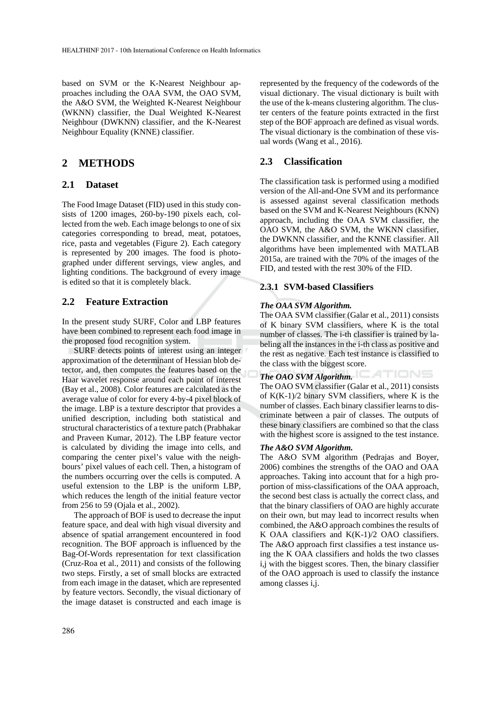based on SVM or the K-Nearest Neighbour approaches including the OAA SVM, the OAO SVM, the A&O SVM, the Weighted K-Nearest Neighbour (WKNN) classifier, the Dual Weighted K-Nearest Neighbour (DWKNN) classifier, and the K-Nearest Neighbour Equality (KNNE) classifier.

## **2 METHODS**

### **2.1 Dataset**

The Food Image Dataset (FID) used in this study consists of 1200 images, 260-by-190 pixels each, collected from the web. Each image belongs to one of six categories corresponding to bread, meat, potatoes, rice, pasta and vegetables (Figure 2). Each category is represented by 200 images. The food is photographed under different servings, view angles, and lighting conditions. The background of every image is edited so that it is completely black.

### **2.2 Feature Extraction**

In the present study SURF, Color and LBP features have been combined to represent each food image in the proposed food recognition system.

SURF detects points of interest using an integer approximation of the determinant of Hessian blob detector, and, then computes the features based on the Haar wavelet response around each point of interest (Bay et al., 2008). Color features are calculated as the average value of color for every 4-by-4 pixel block of the image. LBP is a texture descriptor that provides a unified description, including both statistical and structural characteristics of a texture patch (Prabhakar and Praveen Kumar, 2012). The LBP feature vector is calculated by dividing the image into cells, and comparing the center pixel's value with the neighbours' pixel values of each cell. Then, a histogram of the numbers occurring over the cells is computed. A useful extension to the LBP is the uniform LBP, which reduces the length of the initial feature vector from 256 to 59 (Ojala et al., 2002).

The approach of BOF is used to decrease the input feature space, and deal with high visual diversity and absence of spatial arrangement encountered in food recognition. The BOF approach is influenced by the Bag-Of-Words representation for text classification (Cruz-Roa et al., 2011) and consists of the following two steps. Firstly, a set of small blocks are extracted from each image in the dataset, which are represented by feature vectors. Secondly, the visual dictionary of the image dataset is constructed and each image is represented by the frequency of the codewords of the visual dictionary. The visual dictionary is built with the use of the k-means clustering algorithm. The cluster centers of the feature points extracted in the first step of the BOF approach are defined as visual words. The visual dictionary is the combination of these visual words (Wang et al., 2016).

### **2.3 Classification**

The classification task is performed using a modified version of the All-and-One SVM and its performance is assessed against several classification methods based on the SVM and K-Nearest Neighbours (KNN) approach, including the OAA SVM classifier, the OAO SVM, the A&O SVM, the WKNN classifier, the DWKNN classifier, and the KNNE classifier. All algorithms have been implemented with MATLAB 2015a, are trained with the 70% of the images of the FID, and tested with the rest 30% of the FID.

#### **2.3.1 SVM-based Classifiers**

#### *The OAA SVM Algorithm.*

The OAA SVM classifier (Galar et al., 2011) consists of K binary SVM classifiers, where K is the total number of classes. The i-th classifier is trained by labeling all the instances in the i-th class as positive and the rest as negative. Each test instance is classified to the class with the biggest score.

*The OAO SVM Algorithm.*  The OAO SVM classifier (Galar et al., 2011) consists of  $K(K-1)/2$  binary SVM classifiers, where K is the number of classes. Each binary classifier learns to discriminate between a pair of classes. The outputs of these binary classifiers are combined so that the class with the highest score is assigned to the test instance.

#### *The A&O SVM Algorithm.*

The A&O SVM algorithm (Pedrajas and Boyer, 2006) combines the strengths of the OAO and OAA approaches. Taking into account that for a high proportion of miss-classifications of the OAA approach, the second best class is actually the correct class, and that the binary classifiers of OAO are highly accurate on their own, but may lead to incorrect results when combined, the A&O approach combines the results of K OAA classifiers and K(K-1)/2 OAO classifiers. The A&O approach first classifies a test instance using the K OAA classifiers and holds the two classes i,j with the biggest scores. Then, the binary classifier of the OAO approach is used to classify the instance among classes i,j.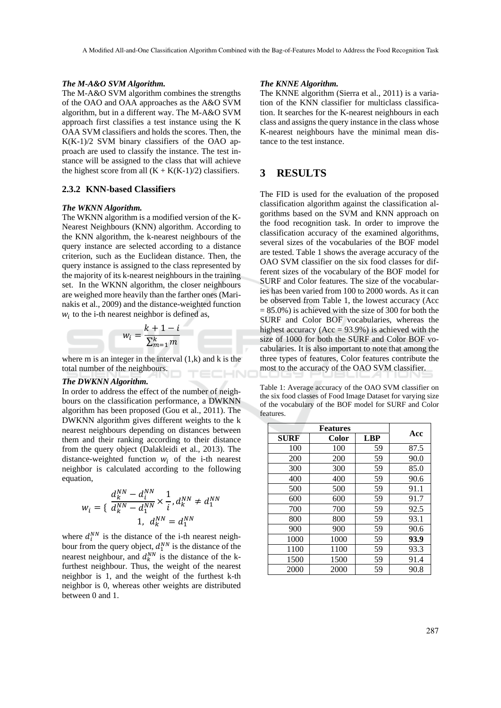#### *The M-A&O SVM Algorithm.*

The M-A&O SVM algorithm combines the strengths of the OAO and OAA approaches as the A&O SVM algorithm, but in a different way. The M-A&O SVM approach first classifies a test instance using the K OAA SVM classifiers and holds the scores. Then, the K(K-1)/2 SVM binary classifiers of the OAO approach are used to classify the instance. The test instance will be assigned to the class that will achieve the highest score from all  $(K + K(K-1)/2)$  classifiers.

#### **2.3.2 KNN-based Classifiers**

#### *The WKNN Algorithm.*

The WKNN algorithm is a modified version of the K-Nearest Neighbours (KNN) algorithm. According to the KNN algorithm, the k-nearest neighbours of the query instance are selected according to a distance criterion, such as the Euclidean distance. Then, the query instance is assigned to the class represented by the majority of its k-nearest neighbours in the training set. In the WKNN algorithm, the closer neighbours are weighed more heavily than the farther ones (Marinakis et al., 2009) and the distance-weighted function  $w_i$  to the i-th nearest neighbor is defined as,

$$
w_i = \frac{k+1-i}{\sum_{m=1}^k m}
$$

where  $m$  is an integer in the interval  $(1, k)$  and  $k$  is the total number of the neighbours.

#### *The DWKNN Algorithm.*

In order to address the effect of the number of neighbours on the classification performance, a DWKNN algorithm has been proposed (Gou et al., 2011). The DWKNN algorithm gives different weights to the k nearest neighbours depending on distances between them and their ranking according to their distance from the query object (Dalakleidi et al., 2013). The distance-weighted function  $w_i$  of the i-th nearest neighbor is calculated according to the following equation,

$$
w_{i} = \left\{ \begin{array}{l} \frac{d_{k}^{NN} - d_{i}^{NN}}{d_{k}^{NN} - d_{1}^{NN}} \times \frac{1}{i}, d_{k}^{NN} \neq d_{1}^{NN} \\ 1, \ d_{k}^{NN} = d_{1}^{NN} \end{array} \right.
$$

where  $d_i^{NN}$  is the distance of the i-th nearest neighbour from the query object,  $d_1^{NN}$  is the distance of the nearest neighbour, and  $d_k^{NN}$  is the distance of the kfurthest neighbour. Thus, the weight of the nearest neighbor is 1, and the weight of the furthest k-th neighbor is 0, whereas other weights are distributed between 0 and 1.

#### *The KNNE Algorithm.*

The KNNE algorithm (Sierra et al., 2011) is a variation of the KNN classifier for multiclass classification. It searches for the K-nearest neighbours in each class and assigns the query instance in the class whose K-nearest neighbours have the minimal mean distance to the test instance.

### **3 RESULTS**

The FID is used for the evaluation of the proposed classification algorithm against the classification algorithms based on the SVM and KNN approach on the food recognition task. In order to improve the classification accuracy of the examined algorithms, several sizes of the vocabularies of the BOF model are tested. Table 1 shows the average accuracy of the OAO SVM classifier on the six food classes for different sizes of the vocabulary of the BOF model for SURF and Color features. The size of the vocabularies has been varied from 100 to 2000 words. As it can be observed from Table 1, the lowest accuracy (Acc  $= 85.0\%$ ) is achieved with the size of 300 for both the SURF and Color BOF vocabularies, whereas the highest accuracy ( $Acc = 93.9\%$ ) is achieved with the size of 1000 for both the SURF and Color BOF vocabularies. It is also important to note that among the three types of features, Color features contribute the most to the accuracy of the OAO SVM classifier.

Table 1: Average accuracy of the OAO SVM classifier on the six food classes of Food Image Dataset for varying size of the vocabulary of the BOF model for SURF and Color features.

| <b>SURF</b> | Color | <b>LBP</b> | Acc  |  |
|-------------|-------|------------|------|--|
| 100         | 100   | 59         | 87.5 |  |
| 200         | 200   | 59         | 90.0 |  |
| 300         | 300   | 59         | 85.0 |  |
| 400         | 400   | 59         | 90.6 |  |
| 500         | 500   | 59         | 91.1 |  |
| 600         | 600   | 59         | 91.7 |  |
| 700         | 700   | 59         | 92.5 |  |
| 800         | 800   | 59         | 93.1 |  |
| 900         | 900   | 59         | 90.6 |  |
| 1000        | 1000  | 59         | 93.9 |  |
| 1100        | 1100  | 59         | 93.3 |  |
| 1500        | 1500  | 59         | 91.4 |  |
| 2000        | 2000  | 59         | 90.8 |  |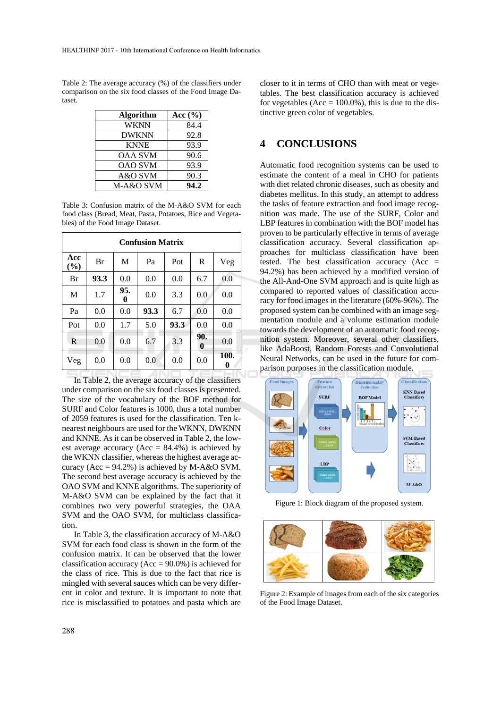Table 2: The average accuracy (%) of the classifiers under comparison on the six food classes of the Food Image Dataset.

| <b>Algorithm</b> | Acc $(\% )$ |
|------------------|-------------|
| WKNN             | 84.4        |
| <b>DWKNN</b>     | 92.8        |
| <b>KNNE</b>      | 93.9        |
| <b>OAA SVM</b>   | 90.6        |
| <b>OAO SVM</b>   | 93.9        |
| A&O SVM          | 90.3        |
| M-A&O SVM        | 94.2        |

Table 3: Confusion matrix of the M-A&O SVM for each food class (Bread, Meat, Pasta, Potatoes, Rice and Vegetables) of the Food Image Dataset.

| <b>Confusion Matrix</b> |      |          |      |      |                         |           |  |  |
|-------------------------|------|----------|------|------|-------------------------|-----------|--|--|
| Acc<br>(%)              | Br   | M        | Pa   | Pot  | R                       | Veg       |  |  |
| Br                      | 93.3 | 0.0      | 0.0  | 0.0  | 6.7                     | 0.0       |  |  |
| M                       | 1.7  | 95.<br>0 | 0.0  | 3.3  | 0.0                     | 0.0       |  |  |
| Pa                      | 0.0  | 0.0      | 93.3 | 6.7  | 0.0                     | 0.0       |  |  |
| Pot                     | 0.0  | 1.7      | 5.0  | 93.3 | 0.0                     | 0.0       |  |  |
| R                       | 0.0  | 0.0      | 6.7  | 3.3  | 90.<br>$\boldsymbol{0}$ | 0.0       |  |  |
| Veg                     | 0.0  | 0.0      | 0.0  | 0.0  | 0.0                     | 100.<br>0 |  |  |

In Table 2, the average accuracy of the classifiers under comparison on the six food classes is presented. The size of the vocabulary of the BOF method for SURF and Color features is 1000, thus a total number of 2059 features is used for the classification. Ten knearest neighbours are used for the WKNN, DWKNN and KNNE. As it can be observed in Table 2, the lowest average accuracy ( $Acc = 84.4\%$ ) is achieved by the WKNN classifier, whereas the highest average accuracy ( $Acc = 94.2\%$ ) is achieved by M-A&O SVM. The second best average accuracy is achieved by the OAO SVM and KNNE algorithms. The superiority of M-A&O SVM can be explained by the fact that it combines two very powerful strategies, the OAA SVM and the OAO SVM, for multiclass classification.

In Table 3, the classification accuracy of M-A&O SVM for each food class is shown in the form of the confusion matrix. It can be observed that the lower classification accuracy ( $Acc = 90.0\%$ ) is achieved for the class of rice. This is due to the fact that rice is mingled with several sauces which can be very different in color and texture. It is important to note that rice is misclassified to potatoes and pasta which are

closer to it in terms of CHO than with meat or vegetables. The best classification accuracy is achieved for vegetables (Acc =  $100.0\%$ ), this is due to the distinctive green color of vegetables.

# **4 CONCLUSIONS**

Automatic food recognition systems can be used to estimate the content of a meal in CHO for patients with diet related chronic diseases, such as obesity and diabetes mellitus. In this study, an attempt to address the tasks of feature extraction and food image recognition was made. The use of the SURF, Color and LBP features in combination with the BOF model has proven to be particularly effective in terms of average classification accuracy. Several classification approaches for multiclass classification have been tested. The best classification accuracy (Acc  $=$ 94.2%) has been achieved by a modified version of the All-And-One SVM approach and is quite high as compared to reported values of classification accuracy for food images in the literature (60%-96%). The proposed system can be combined with an image segmentation module and a volume estimation module towards the development of an automatic food recognition system. Moreover, several other classifiers, like AdaBoost, Random Forests and Convolutional Neural Networks, can be used in the future for comparison purposes in the classification module.



Figure 1: Block diagram of the proposed system.



Figure 2: Example of images from each of the six categories of the Food Image Dataset.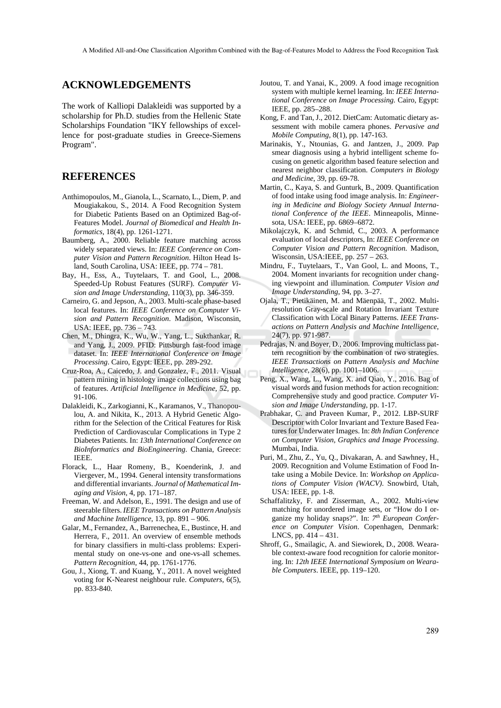A Modified All-and-One Classification Algorithm Combined with the Bag-of-Features Model to Address the Food Recognition Task

### **ACKNOWLEDGEMENTS**

The work of Kalliopi Dalakleidi was supported by a scholarship for Ph.D. studies from the Hellenic State Scholarships Foundation "IKY fellowships of excellence for post-graduate studies in Greece-Siemens Program".

# **REFERENCES**

- Anthimopoulos, M., Gianola, L., Scarnato, L., Diem, P. and Mougiakakou, S., 2014. A Food Recognition System for Diabetic Patients Based on an Optimized Bag-of-Features Model. *Journal of Biomedical and Health Informatics*, 18(4), pp. 1261-1271.
- Baumberg, A., 2000. Reliable feature matching across widely separated views. In: *IEEE Conference on Computer Vision and Pattern Recognition*. Hilton Head Island, South Carolina, USA: IEEE, pp. 774 – 781.
- Bay, H., Ess, A., Tuytelaars, T. and Gool, L., 2008. Speeded-Up Robust Features (SURF). *Computer Vision and Image Understanding*, 110(3), pp. 346-359.
- Carneiro, G. and Jepson, A., 2003. Multi-scale phase-based local features. In: *IEEE Conference on Computer Vision and Pattern Recognition*. Madison, Wisconsin, USA: IEEE, pp. 736 – 743.
- Chen, M., Dhingra, K., Wu, W., Yang, L., Sukthankar, R. and Yang, J., 2009. PFID: Pittsburgh fast-food image dataset. In: *IEEE International Conference on Image Processing*. Cairo, Egypt: IEEE, pp. 289-292.
- Cruz-Roa, A., Caicedo, J. and Gonzalez, F., 2011. Visual pattern mining in histology image collections using bag of features. *Artificial Intelligence in Medicine*, 52, pp. 91-106.
- Dalakleidi, K., Zarkogianni, K., Karamanos, V., Thanopoulou, A. and Nikita, K., 2013. A Hybrid Genetic Algorithm for the Selection of the Critical Features for Risk Prediction of Cardiovascular Complications in Type 2 Diabetes Patients. In: *13th International Conference on BioInformatics and BioEngineering*. Chania, Greece: IEEE.
- Florack, L., Haar Romeny, B., Koenderink, J. and Viergever, M., 1994. General intensity transformations and differential invariants. *Journal of Mathematical Imaging and Vision*, 4, pp. 171–187.
- Freeman, W. and Adelson, E., 1991. The design and use of steerable filters. *IEEE Transactions on Pattern Analysis and Machine Intelligence*, 13, pp. 891 – 906.
- Galar, M., Fernandez, A., Barrenechea, E., Bustince, H. and Herrera, F., 2011. An overview of ensemble methods for binary classifiers in multi-class problems: Experimental study on one-vs-one and one-vs-all schemes. *Pattern Recognition*, 44, pp. 1761-1776.
- Gou, J., Xiong, T. and Kuang, Y., 2011. A novel weighted voting for K-Nearest neighbour rule. *Computers*, 6(5), pp. 833-840.
- Joutou, T. and Yanai, K., 2009. A food image recognition system with multiple kernel learning. In: *IEEE International Conference on Image Processing*. Cairo, Egypt: IEEE, pp. 285–288.
- Kong, F. and Tan, J., 2012. DietCam: Automatic dietary assessment with mobile camera phones. *Pervasive and Mobile Computing*, 8(1), pp. 147-163.
- Marinakis, Y., Ntounias, G. and Jantzen, J., 2009. Pap smear diagnosis using a hybrid intelligent scheme focusing on genetic algorithm based feature selection and nearest neighbor classification. *Computers in Biology and Medicine*, 39, pp. 69-78.
- Martin, C., Kaya, S. and Gunturk, B., 2009. Quantification of food intake using food image analysis. In: *Engineering in Medicine and Biology Society Annual International Conference of the IEEE*. Minneapolis, Minnesota, USA: IEEE, pp. 6869–6872.
- Mikolajczyk, K. and Schmid, C., 2003. A performance evaluation of local descriptors, In: *IEEE Conference on Computer Vision and Pattern Recognition*. Madison, Wisconsin, USA:IEEE, pp. 257 – 263.
- Mindru, F., Tuytelaars, T., Van Gool, L. and Moons, T., 2004. Moment invariants for recognition under changing viewpoint and illumination. *Computer Vision and Image Understanding*, 94, pp. 3–27.
- Ojala, T., Pietikäinen, M. and Mäenpää, T., 2002. Multiresolution Gray-scale and Rotation Invariant Texture Classification with Local Binary Patterns. *IEEE Transactions on Pattern Analysis and Machine Intelligence*, 24(7), pp. 971-987.
- Pedrajas, N. and Boyer, D., 2006. Improving multiclass pattern recognition by the combination of two strategies. *IEEE Transactions on Pattern Analysis and Machine Intelligence*, 28(6), pp. 1001–1006.
- Peng, X., Wang, L., Wang, X. and Qiao, Y., 2016. Bag of visual words and fusion methods for action recognition: Comprehensive study and good practice. *Computer Vision and Image Understanding*, pp. 1-17.
- Prabhakar, C. and Praveen Kumar, P., 2012. LBP-SURF Descriptor with Color Invariant and Texture Based Features for Underwater Images. In: *8th Indian Conference on Computer Vision, Graphics and Image Processing*. Mumbai, India.
- Puri, M., Zhu, Z., Yu, Q., Divakaran, A. and Sawhney, H., 2009. Recognition and Volume Estimation of Food Intake using a Mobile Device. In: *Workshop on Applications of Computer Vision (WACV)*. Snowbird, Utah, USA: IEEE, pp. 1-8.
- Schaffalitzky, F. and Zisserman, A., 2002. Multi-view matching for unordered image sets, or "How do I organize my holiday snaps?". In: *7th European Conference on Computer Vision*. Copenhagen, Denmark: LNCS, pp. 414 – 431.
- Shroff, G., Smailagic, A. and Siewiorek, D., 2008. Wearable context-aware food recognition for calorie monitoring. In: *12th IEEE International Symposium on Wearable Computers*. IEEE, pp. 119–120.